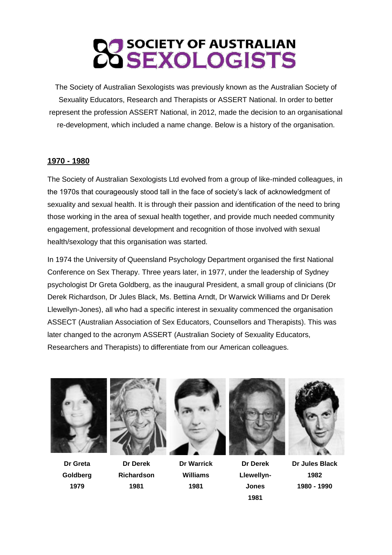# **SOCIETY OF AUSTRALIAN OSEXOLOGISTS**

The Society of Australian Sexologists was previously known as the Australian Society of Sexuality Educators, Research and Therapists or ASSERT National. In order to better represent the profession ASSERT National, in 2012, made the decision to an organisational re-development, which included a name change. Below is a history of the organisation.

### **1970 - 1980**

The Society of Australian Sexologists Ltd evolved from a group of like-minded colleagues, in the 1970s that courageously stood tall in the face of society's lack of acknowledgment of sexuality and sexual health. It is through their passion and identification of the need to bring those working in the area of sexual health together, and provide much needed community engagement, professional development and recognition of those involved with sexual health/sexology that this organisation was started.

In 1974 the University of Queensland Psychology Department organised the first National Conference on Sex Therapy. Three years later, in 1977, under the leadership of Sydney psychologist Dr Greta Goldberg, as the inaugural President, a small group of clinicians (Dr Derek Richardson, Dr Jules Black, Ms. Bettina Arndt, Dr Warwick Williams and Dr Derek Llewellyn-Jones), all who had a specific interest in sexuality commenced the organisation ASSECT (Australian Association of Sex Educators, Counsellors and Therapists). This was later changed to the acronym ASSERT (Australian Society of Sexuality Educators, Researchers and Therapists) to differentiate from our American colleagues.



**Dr Greta Goldberg 1979**



**Dr Derek Richardson 1981**



**Dr Warrick Williams 1981**



**Dr Derek Llewellyn-Jones 1981**



**Dr Jules Black 1982 1980 - 1990**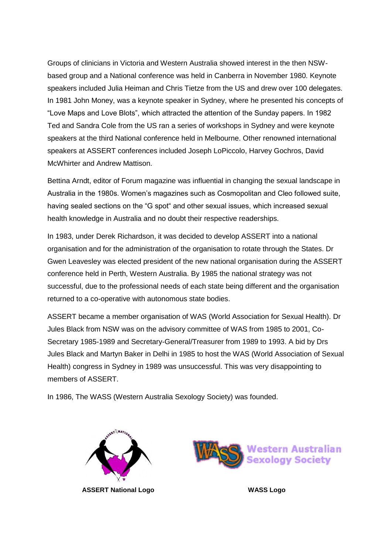Groups of clinicians in Victoria and Western Australia showed interest in the then NSWbased group and a National conference was held in Canberra in November 1980. Keynote speakers included Julia Heiman and Chris Tietze from the US and drew over 100 delegates. In 1981 John Money, was a keynote speaker in Sydney, where he presented his concepts of "Love Maps and Love Blots", which attracted the attention of the Sunday papers. In 1982 Ted and Sandra Cole from the US ran a series of workshops in Sydney and were keynote speakers at the third National conference held in Melbourne. Other renowned international speakers at ASSERT conferences included Joseph LoPiccolo, Harvey Gochros, David McWhirter and Andrew Mattison.

Bettina Arndt, editor of Forum magazine was influential in changing the sexual landscape in Australia in the 1980s. Women's magazines such as Cosmopolitan and Cleo followed suite, having sealed sections on the "G spot" and other sexual issues, which increased sexual health knowledge in Australia and no doubt their respective readerships.

In 1983, under Derek Richardson, it was decided to develop ASSERT into a national organisation and for the administration of the organisation to rotate through the States. Dr Gwen Leavesley was elected president of the new national organisation during the ASSERT conference held in Perth, Western Australia. By 1985 the national strategy was not successful, due to the professional needs of each state being different and the organisation returned to a co-operative with autonomous state bodies.

ASSERT became a member organisation of WAS (World Association for Sexual Health). Dr Jules Black from NSW was on the advisory committee of WAS from 1985 to 2001, Co-Secretary 1985-1989 and Secretary-General/Treasurer from 1989 to 1993. A bid by Drs Jules Black and Martyn Baker in Delhi in 1985 to host the WAS (World Association of Sexual Health) congress in Sydney in 1989 was unsuccessful. This was very disappointing to members of ASSERT.

In 1986, The WASS (Western Australia Sexology Society) was founded.



**ASSERT National Logo WASS Logo**

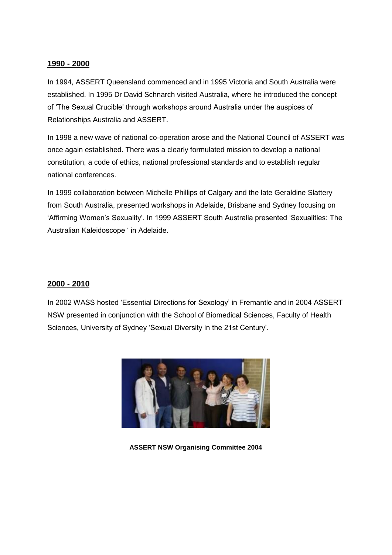### **1990 - 2000**

In 1994, ASSERT Queensland commenced and in 1995 Victoria and South Australia were established. In 1995 Dr David Schnarch visited Australia, where he introduced the concept of 'The Sexual Crucible' through workshops around Australia under the auspices of Relationships Australia and ASSERT.

In 1998 a new wave of national co-operation arose and the National Council of ASSERT was once again established. There was a clearly formulated mission to develop a national constitution, a code of ethics, national professional standards and to establish regular national conferences.

In 1999 collaboration between Michelle Phillips of Calgary and the late Geraldine Slattery from South Australia, presented workshops in Adelaide, Brisbane and Sydney focusing on 'Affirming Women's Sexuality'. In 1999 ASSERT South Australia presented 'Sexualities: The Australian Kaleidoscope ' in Adelaide.

# **2000 - 2010**

In 2002 WASS hosted 'Essential Directions for Sexology' in Fremantle and in 2004 ASSERT NSW presented in conjunction with the School of Biomedical Sciences, Faculty of Health Sciences, University of Sydney 'Sexual Diversity in the 21st Century'.



**ASSERT NSW Organising Committee 2004**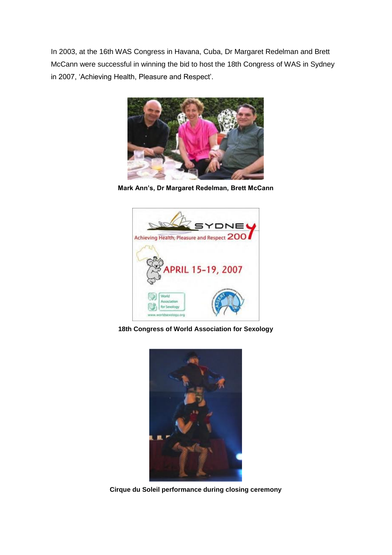In 2003, at the 16th WAS Congress in Havana, Cuba, Dr Margaret Redelman and Brett McCann were successful in winning the bid to host the 18th Congress of WAS in Sydney in 2007, 'Achieving Health, Pleasure and Respect'.



**Mark Ann's, Dr Margaret Redelman, Brett McCann**



**18th Congress of World Association for Sexology**



**Cirque du Soleil performance during closing ceremony**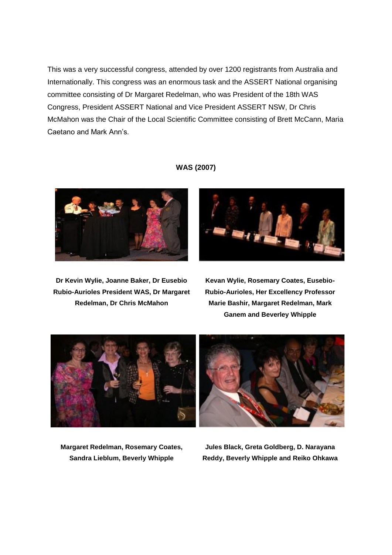This was a very successful congress, attended by over 1200 registrants from Australia and Internationally. This congress was an enormous task and the ASSERT National organising committee consisting of Dr Margaret Redelman, who was President of the 18th WAS Congress, President ASSERT National and Vice President ASSERT NSW, Dr Chris McMahon was the Chair of the Local Scientific Committee consisting of Brett McCann, Maria Caetano and Mark Ann's.

**Dr Kevin Wylie, Joanne Baker, Dr Eusebio Rubio-Aurioles President WAS, Dr Margaret Redelman, Dr Chris McMahon**

# **WAS (2007)**



**Kevan Wylie, Rosemary Coates, Eusebio-Rubio-Aurioles, Her Excellency Professor Marie Bashir, Margaret Redelman, Mark Ganem and Beverley Whipple**



**Margaret Redelman, Rosemary Coates, Sandra Lieblum, Beverly Whipple**

**Jules Black, Greta Goldberg, D. Narayana Reddy, Beverly Whipple and Reiko Ohkawa**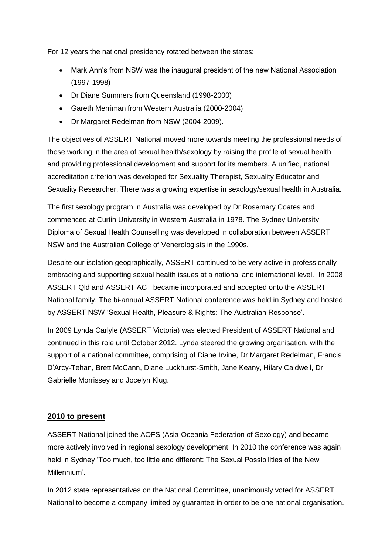For 12 years the national presidency rotated between the states:

- Mark Ann's from NSW was the inaugural president of the new National Association (1997-1998)
- Dr Diane Summers from Queensland (1998-2000)
- Gareth Merriman from Western Australia (2000-2004)
- Dr Margaret Redelman from NSW (2004-2009).

The objectives of ASSERT National moved more towards meeting the professional needs of those working in the area of sexual health/sexology by raising the profile of sexual health and providing professional development and support for its members. A unified, national accreditation criterion was developed for Sexuality Therapist, Sexuality Educator and Sexuality Researcher. There was a growing expertise in sexology/sexual health in Australia.

The first sexology program in Australia was developed by Dr Rosemary Coates and commenced at Curtin University in Western Australia in 1978. The Sydney University Diploma of Sexual Health Counselling was developed in collaboration between ASSERT NSW and the Australian College of Venerologists in the 1990s.

Despite our isolation geographically, ASSERT continued to be very active in professionally embracing and supporting sexual health issues at a national and international level. In 2008 ASSERT Qld and ASSERT ACT became incorporated and accepted onto the ASSERT National family. The bi-annual ASSERT National conference was held in Sydney and hosted by ASSERT NSW 'Sexual Health, Pleasure & Rights: The Australian Response'.

In 2009 Lynda Carlyle (ASSERT Victoria) was elected President of ASSERT National and continued in this role until October 2012. Lynda steered the growing organisation, with the support of a national committee, comprising of Diane Irvine, Dr Margaret Redelman, Francis D'Arcy-Tehan, Brett McCann, Diane Luckhurst-Smith, Jane Keany, Hilary Caldwell, Dr Gabrielle Morrissey and Jocelyn Klug.

# **2010 to present**

ASSERT National joined the AOFS (Asia-Oceania Federation of Sexology) and became more actively involved in regional sexology development. In 2010 the conference was again held in Sydney 'Too much, too little and different: The Sexual Possibilities of the New Millennium'.

In 2012 state representatives on the National Committee, unanimously voted for ASSERT National to become a company limited by guarantee in order to be one national organisation.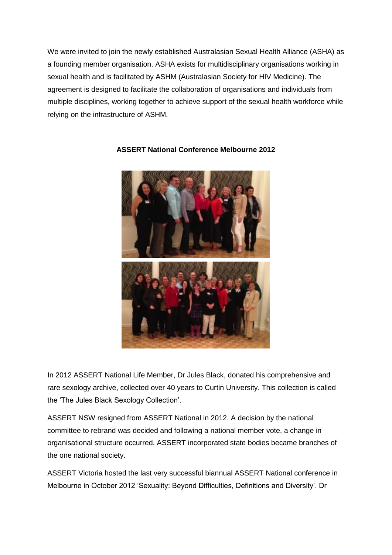We were invited to join the newly established Australasian Sexual Health Alliance (ASHA) as a founding member organisation. ASHA exists for multidisciplinary organisations working in sexual health and is facilitated by ASHM (Australasian Society for HIV Medicine). The agreement is designed to facilitate the collaboration of organisations and individuals from multiple disciplines, working together to achieve support of the sexual health workforce while relying on the infrastructure of ASHM.



# **ASSERT National Conference Melbourne 2012**

In 2012 ASSERT National Life Member, Dr Jules Black, donated his comprehensive and rare sexology archive, collected over 40 years to Curtin University. This collection is called the 'The Jules Black Sexology Collection'.

ASSERT NSW resigned from ASSERT National in 2012. A decision by the national committee to rebrand was decided and following a national member vote, a change in organisational structure occurred. ASSERT incorporated state bodies became branches of the one national society.

ASSERT Victoria hosted the last very successful biannual ASSERT National conference in Melbourne in October 2012 'Sexuality: Beyond Difficulties, Definitions and Diversity'. Dr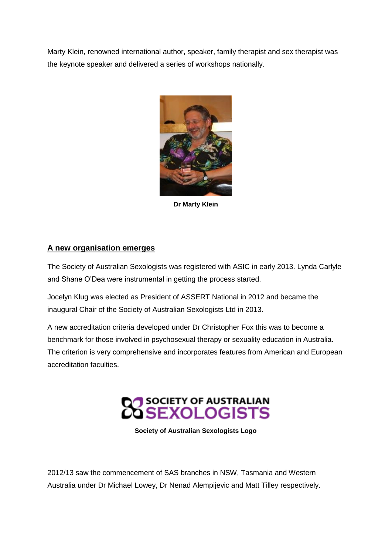Marty Klein, renowned international author, speaker, family therapist and sex therapist was the keynote speaker and delivered a series of workshops nationally.



**Dr Marty Klein**

# **A new organisation emerges**

The Society of Australian Sexologists was registered with ASIC in early 2013. Lynda Carlyle and Shane O'Dea were instrumental in getting the process started.

Jocelyn Klug was elected as President of ASSERT National in 2012 and became the inaugural Chair of the Society of Australian Sexologists Ltd in 2013.

A new accreditation criteria developed under Dr Christopher Fox this was to become a benchmark for those involved in psychosexual therapy or sexuality education in Australia. The criterion is very comprehensive and incorporates features from American and European accreditation faculties.



**Society of Australian Sexologists Logo**

2012/13 saw the commencement of SAS branches in NSW, Tasmania and Western Australia under Dr Michael Lowey, Dr Nenad Alempijevic and Matt Tilley respectively.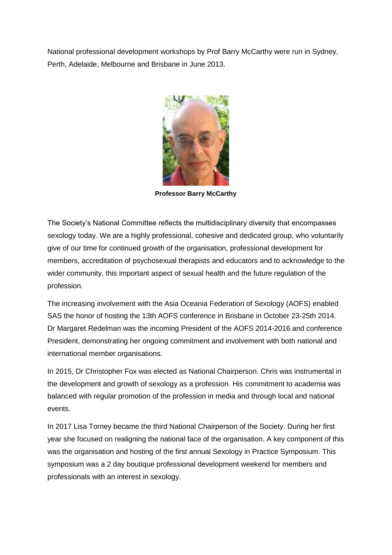National professional development workshops by Prof Barry McCarthy were run in Sydney, Perth, Adelaide, Melbourne and Brisbane in June 2013.



**Professor Barry McCarthy**

The Society's National Committee reflects the multidisciplinary diversity that encompasses sexology today. We are a highly professional, cohesive and dedicated group, who voluntarily give of our time for continued growth of the organisation, professional development for members, accreditation of psychosexual therapists and educators and to acknowledge to the wider community, this important aspect of sexual health and the future regulation of the profession.

The increasing involvement with the Asia Oceania Federation of Sexology (AOFS) enabled SAS the honor of hosting the 13th AOFS conference in Brisbane in October 23-25th 2014. Dr Margaret Redelman was the incoming President of the AOFS 2014-2016 and conference President, demonstrating her ongoing commitment and involvement with both national and international member organisations.

In 2015, Dr Christopher Fox was elected as National Chairperson. Chris was instrumental in the development and growth of sexology as a profession. His commitment to academia was balanced with regular promotion of the profession in media and through local and national events.

In 2017 Lisa Torney became the third National Chairperson of the Society. During her first year she focused on realigning the national face of the organisation. A key component of this was the organisation and hosting of the first annual Sexology in Practice Symposium. This symposium was a 2 day boutique professional development weekend for members and professionals with an interest in sexology.